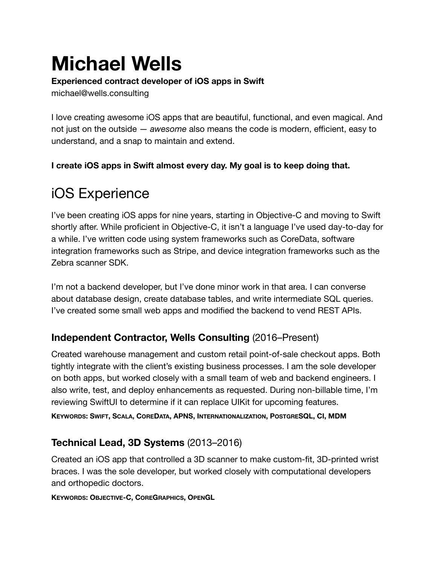# **Michael Wells**

#### **Experienced contract developer of iOS apps in Swift**

michael@wells.consulting

I love creating awesome iOS apps that are beautiful, functional, and even magical. And not just on the outside — *awesome* also means the code is modern, efficient, easy to understand, and a snap to maintain and extend.

**I create iOS apps in Swift almost every day. My goal is to keep doing that.** 

# iOS Experience

I've been creating iOS apps for nine years, starting in Objective-C and moving to Swift shortly after. While proficient in Objective-C, it isn't a language I've used day-to-day for a while. I've written code using system frameworks such as CoreData, software integration frameworks such as Stripe, and device integration frameworks such as the Zebra scanner SDK.

I'm not a backend developer, but I've done minor work in that area. I can converse about database design, create database tables, and write intermediate SQL queries. I've created some small web apps and modified the backend to vend REST APIs.

## **Independent Contractor, Wells Consulting** (2016–Present)

Created warehouse management and custom retail point-of-sale checkout apps. Both tightly integrate with the client's existing business processes. I am the sole developer on both apps, but worked closely with a small team of web and backend engineers. I also write, test, and deploy enhancements as requested. During non-billable time, I'm reviewing SwiftUI to determine if it can replace UIKit for upcoming features.

**KEYWORDS: SWIFT, SCALA, COREDATA, APNS, INTERNATIONALIZATION, POSTGRESQL, CI, MDM** 

# **Technical Lead, 3D Systems** (2013–2016)

Created an iOS app that controlled a 3D scanner to make custom-fit, 3D-printed wrist braces. I was the sole developer, but worked closely with computational developers and orthopedic doctors.

**KEYWORDS: OBJECTIVE-C, COREGRAPHICS, OPENGL**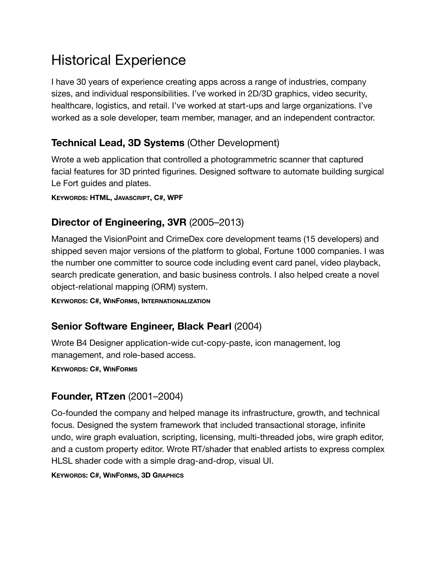# Historical Experience

I have 30 years of experience creating apps across a range of industries, company sizes, and individual responsibilities. I've worked in 2D/3D graphics, video security, healthcare, logistics, and retail. I've worked at start-ups and large organizations. I've worked as a sole developer, team member, manager, and an independent contractor.

#### **Technical Lead, 3D Systems** (Other Development)

Wrote a web application that controlled a photogrammetric scanner that captured facial features for 3D printed figurines. Designed software to automate building surgical Le Fort guides and plates.

**KEYWORDS: HTML, JAVASCRIPT, C#, WPF**

## **Director of Engineering, 3VR** (2005–2013)

Managed the VisionPoint and CrimeDex core development teams (15 developers) and shipped seven major versions of the platform to global, Fortune 1000 companies. I was the number one committer to source code including event card panel, video playback, search predicate generation, and basic business controls. I also helped create a novel object-relational mapping (ORM) system.

**KEYWORDS: C#, WINFORMS, INTERNATIONALIZATION**

## **Senior Software Engineer, Black Pearl** (2004)

Wrote B4 Designer application-wide cut-copy-paste, icon management, log management, and role-based access.

**KEYWORDS: C#, WINFORMS**

## **Founder, RTzen** (2001–2004)

Co-founded the company and helped manage its infrastructure, growth, and technical focus. Designed the system framework that included transactional storage, infinite undo, wire graph evaluation, scripting, licensing, multi-threaded jobs, wire graph editor, and a custom property editor. Wrote RT/shader that enabled artists to express complex HLSL shader code with a simple drag-and-drop, visual UI.

**KEYWORDS: C#, WINFORMS, 3D GRAPHICS**